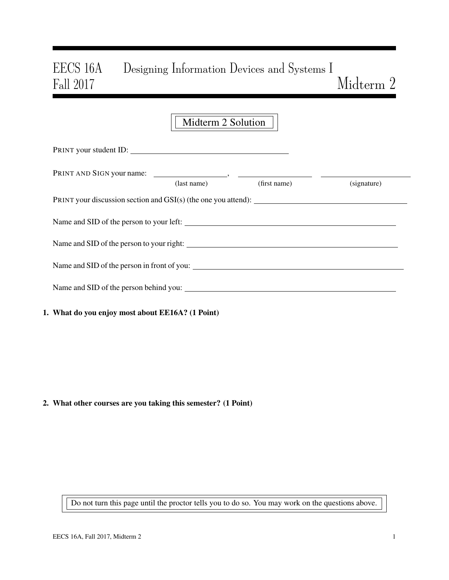# EECS 16A Designing Information Devices and Systems I Fall 2017 Midterm 2

|                                                                  | Midterm 2 Solution |              |             |
|------------------------------------------------------------------|--------------------|--------------|-------------|
| PRINT your student ID:                                           |                    |              |             |
|                                                                  | $u$ s (last name)  | (first name) | (signature) |
| PRINT your discussion section and $GSI(s)$ (the one you attend): |                    |              |             |
| Name and SID of the person to your left:                         |                    |              |             |
| Name and SID of the person to your right:                        |                    |              |             |
| Name and SID of the person in front of you:                      |                    |              |             |

1. What do you enjoy most about EE16A? (1 Point)

Name and SID of the person behind you:

#### 2. What other courses are you taking this semester? (1 Point)

Do not turn this page until the proctor tells you to do so. You may work on the questions above.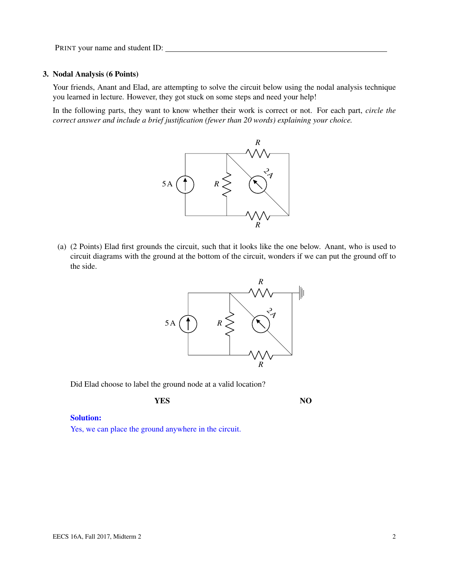#### 3. Nodal Analysis (6 Points)

Your friends, Anant and Elad, are attempting to solve the circuit below using the nodal analysis technique you learned in lecture. However, they got stuck on some steps and need your help!

In the following parts, they want to know whether their work is correct or not. For each part, *circle the correct answer and include a brief justification (fewer than 20 words) explaining your choice.*



(a) (2 Points) Elad first grounds the circuit, such that it looks like the one below. Anant, who is used to circuit diagrams with the ground at the bottom of the circuit, wonders if we can put the ground off to the side.



Did Elad choose to label the ground node at a valid location?

**YES** NO

#### Solution:

Yes, we can place the ground anywhere in the circuit.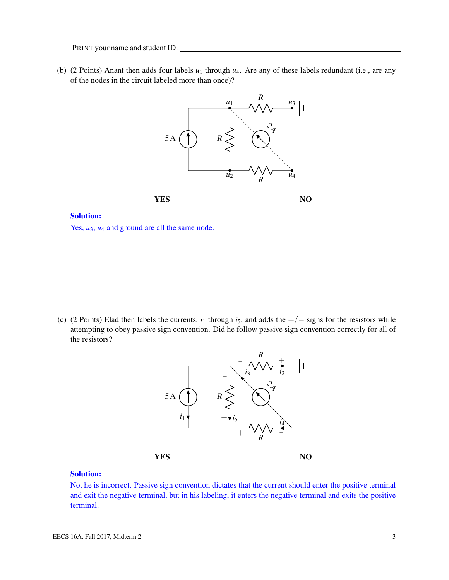(b) (2 Points) Anant then adds four labels  $u_1$  through  $u_4$ . Are any of these labels redundant (i.e., are any of the nodes in the circuit labeled more than once)?



#### Solution:

Yes,  $u_3$ ,  $u_4$  and ground are all the same node.

(c) (2 Points) Elad then labels the currents,  $i_1$  through  $i_5$ , and adds the  $+/-$  signs for the resistors while attempting to obey passive sign convention. Did he follow passive sign convention correctly for all of the resistors?



#### Solution:

No, he is incorrect. Passive sign convention dictates that the current should enter the positive terminal and exit the negative terminal, but in his labeling, it enters the negative terminal and exits the positive terminal.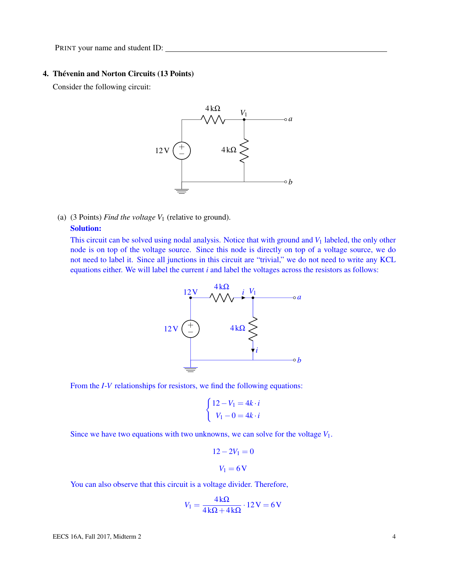### 4. Thévenin and Norton Circuits (13 Points)

Consider the following circuit:



(a) (3 Points) *Find the voltage V*<sup>1</sup> (relative to ground).

## Solution:

This circuit can be solved using nodal analysis. Notice that with ground and  $V_1$  labeled, the only other node is on top of the voltage source. Since this node is directly on top of a voltage source, we do not need to label it. Since all junctions in this circuit are "trivial," we do not need to write any KCL equations either. We will label the current *i* and label the voltages across the resistors as follows:



From the *I*-*V* relationships for resistors, we find the following equations:

$$
\begin{cases} 12 - V_1 = 4k \cdot i \\ V_1 - 0 = 4k \cdot i \end{cases}
$$

Since we have two equations with two unknowns, we can solve for the voltage  $V_1$ .

$$
12 - 2V_1 = 0
$$

$$
V_1 = 6\,\text{V}
$$

You can also observe that this circuit is a voltage divider. Therefore,

$$
V_1 = \frac{4\,\mathrm{k}\Omega}{4\,\mathrm{k}\Omega + 4\,\mathrm{k}\Omega} \cdot 12\,\mathrm{V} = 6\,\mathrm{V}
$$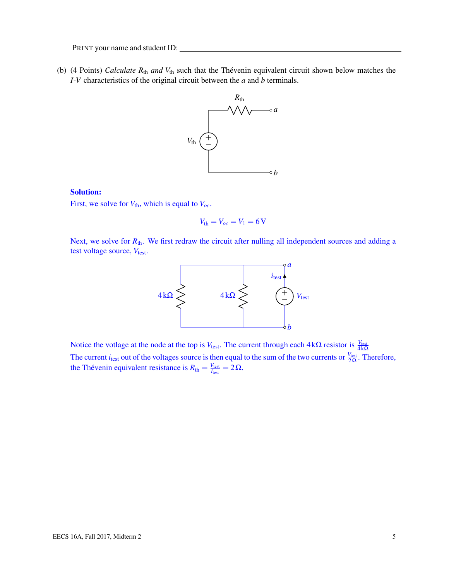<span id="page-4-0"></span>(b) (4 Points) *Calculate R*th *and V*th such that the Thévenin equivalent circuit shown below matches the *I*-*V* characteristics of the original circuit between the *a* and *b* terminals.



#### Solution:

First, we solve for  $V_{th}$ , which is equal to  $V_{oc}$ .

$$
V_{\text{th}}=V_{oc}=V_1=6\,\mathrm{V}
$$

Next, we solve for  $R_{\text{th}}$ . We first redraw the circuit after nulling all independent sources and adding a test voltage source, V<sub>test</sub>.



Notice the votlage at the node at the top is *V*<sub>test</sub>. The current through each  $4 kΩ$  resistor is  $\frac{V_{test}}{4 kΩ}$ The current *i*<sub>test</sub> out of the voltages source is then equal to the sum of the two currents or  $\frac{V_{\text{test}}}{2\Omega}$ . Therefore, the Thévenin equivalent resistance is  $R_{\text{th}} = \frac{V_{\text{test}}}{i_{\text{test}}}$  $\frac{V_{\text{test}}}{i_{\text{test}}} = 2\Omega.$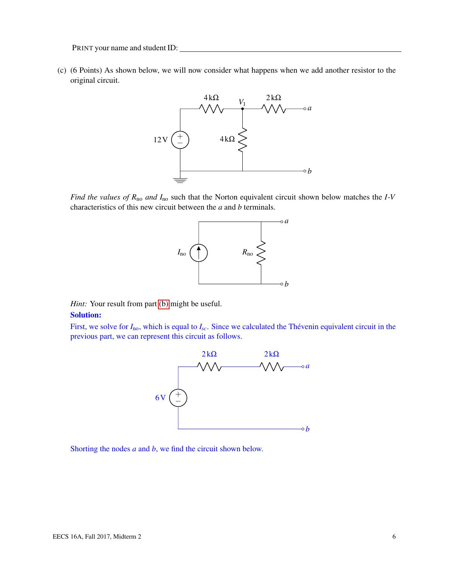(c) (6 Points) As shown below, we will now consider what happens when we add another resistor to the original circuit.



*Find the values of R*no *and I*no such that the Norton equivalent circuit shown below matches the *I*-*V* characteristics of this new circuit between the *a* and *b* terminals.



*Hint:* Your result from part [\(b\)](#page-4-0) might be useful.

# Solution:

First, we solve for  $I_{\text{no}}$ , which is equal to  $I_{\text{sc}}$ . Since we calculated the Thévenin equivalent circuit in the previous part, we can represent this circuit as follows.



Shorting the nodes *a* and *b*, we find the circuit shown below.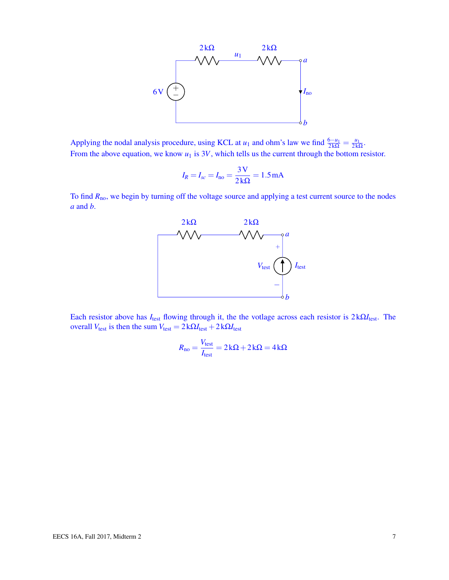

Applying the nodal analysis procedure, using KCL at *u*<sub>1</sub> and ohm's law we find  $\frac{6-u_1}{2k\Omega} = \frac{u_1}{2k\Omega}$  $rac{u_1}{2k\Omega}$ . From the above equation, we know  $u_1$  is  $3V$ , which tells us the current through the bottom resistor.

$$
I_R = I_{sc} = I_{no} = \frac{3\,\text{V}}{2\,\text{k}\Omega} = 1.5\,\text{mA}
$$

To find  $R_{\text{no}}$ , we begin by turning off the voltage source and applying a test current source to the nodes *a* and *b*.



Each resistor above has *I*test flowing through it, the the votlage across each resistor is 2 kΩ*I*test. The overall *V*<sub>test</sub> is then the sum *V*<sub>test</sub> =  $2kΩ*I*<sub>test</sub> + 2kΩ*I*<sub>test</sub>$ 

$$
R_{\text{no}} = \frac{V_{\text{test}}}{I_{\text{test}}} = 2k\Omega + 2k\Omega = 4k\Omega
$$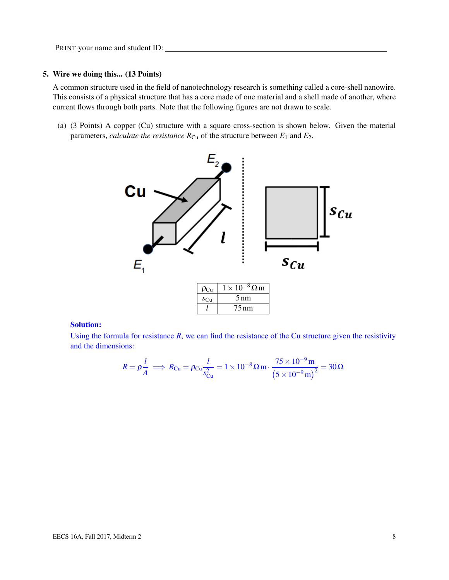## 5. Wire we doing this... (13 Points)

A common structure used in the field of nanotechnology research is something called a core-shell nanowire. This consists of a physical structure that has a core made of one material and a shell made of another, where current flows through both parts. Note that the following figures are not drawn to scale.

(a) (3 Points) A copper (Cu) structure with a square cross-section is shown below. Given the material parameters, *calculate the resistance*  $R_{Cu}$  of the structure between  $E_1$  and  $E_2$ .



#### Solution:

Using the formula for resistance  $R$ , we can find the resistance of the Cu structure given the resistivity and the dimensions:

$$
R = \rho \frac{l}{A} \implies R_{\text{Cu}} = \rho_{\text{Cu}} \frac{l}{s_{\text{Cu}}^2} = 1 \times 10^{-8} \,\Omega \,\text{m} \cdot \frac{75 \times 10^{-9} \,\text{m}}{\left(5 \times 10^{-9} \,\text{m}\right)^2} = 30 \,\Omega
$$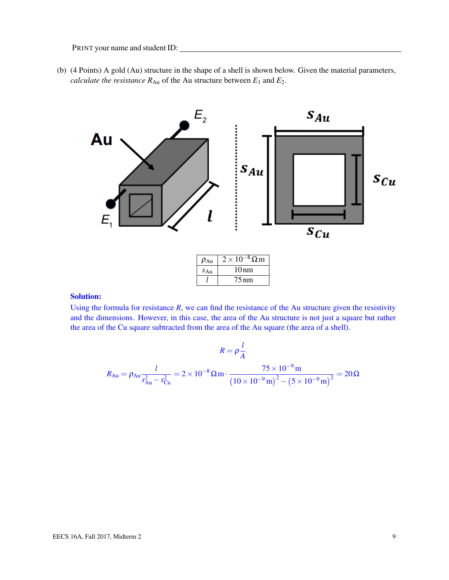(b) (4 Points) A gold (Au) structure in the shape of a shell is shown below. Given the material parameters, *calculate the resistance*  $R_{Au}$  of the Au structure between  $E_1$  and  $E_2$ .



| $\rho_{Au}$     | $2 \times 10^{-8} \Omega$ m |
|-----------------|-----------------------------|
| $S_{\text{Au}}$ | 10nm                        |
|                 | 75 nm                       |

## Solution:

Using the formula for resistance  $R$ , we can find the resistance of the Au structure given the resistivity and the dimensions. However, in this case, the area of the Au structure is not just a square but rather the area of the Cu square subtracted from the area of the Au square (the area of a shell).

$$
R = \rho \frac{l}{A}
$$
  

$$
R_{Au} = \rho_{Au} \frac{l}{s_{Au}^2 - s_{Cu}^2} = 2 \times 10^{-8} \,\Omega \,\text{m} \cdot \frac{75 \times 10^{-9} \,\text{m}}{\left(10 \times 10^{-9} \,\text{m}\right)^2 - \left(5 \times 10^{-9} \,\text{m}\right)^2} = 20 \,\Omega
$$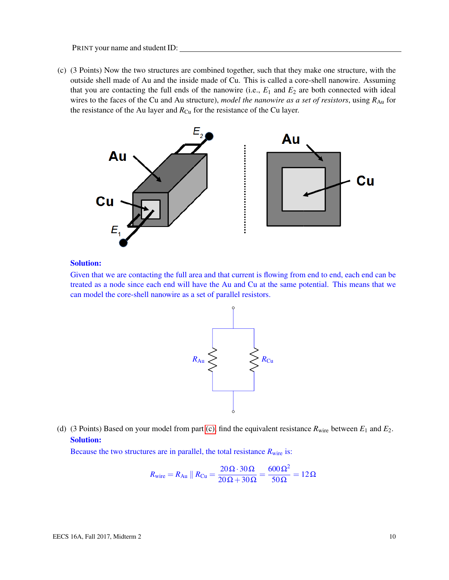<span id="page-9-0"></span>(c) (3 Points) Now the two structures are combined together, such that they make one structure, with the outside shell made of Au and the inside made of Cu. This is called a core-shell nanowire. Assuming that you are contacting the full ends of the nanowire (i.e.,  $E_1$  and  $E_2$  are both connected with ideal wires to the faces of the Cu and Au structure), *model the nanowire as a set of resistors*, using  $R_{Au}$  for the resistance of the Au layer and  $R_{Cu}$  for the resistance of the Cu layer.



#### Solution:

Given that we are contacting the full area and that current is flowing from end to end, each end can be treated as a node since each end will have the Au and Cu at the same potential. This means that we can model the core-shell nanowire as a set of parallel resistors.



(d) (3 Points) Based on your model from part [\(c\),](#page-9-0) find the equivalent resistance  $R_{\text{wire}}$  between  $E_1$  and  $E_2$ . Solution:

Because the two structures are in parallel, the total resistance  $R_{\text{wire}}$  is:

$$
R_{\text{wire}} = R_{\text{Au}} \parallel R_{\text{Cu}} = \frac{20 \,\Omega \cdot 30 \,\Omega}{20 \,\Omega + 30 \,\Omega} = \frac{600 \,\Omega^2}{50 \,\Omega} = 12 \,\Omega
$$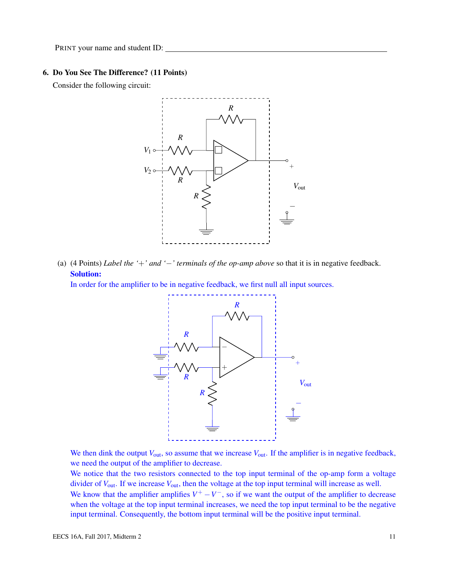### 6. Do You See The Difference? (11 Points)

Consider the following circuit:



(a) (4 Points) *Label the '*+*' and '*−*' terminals of the op-amp above* so that it is in negative feedback. Solution:

In order for the amplifier to be in negative feedback, we first null all input sources.



We then dink the output  $V_{\text{out}}$ , so assume that we increase  $V_{\text{out}}$ . If the amplifier is in negative feedback, we need the output of the amplifier to decrease.

We notice that the two resistors connected to the top input terminal of the op-amp form a voltage divider of *V*out. If we increase *V*out, then the voltage at the top input terminal will increase as well.

We know that the amplifier amplifies  $V^+ - V^-$ , so if we want the output of the amplifier to decrease when the voltage at the top input terminal increases, we need the top input terminal to be the negative input terminal. Consequently, the bottom input terminal will be the positive input terminal.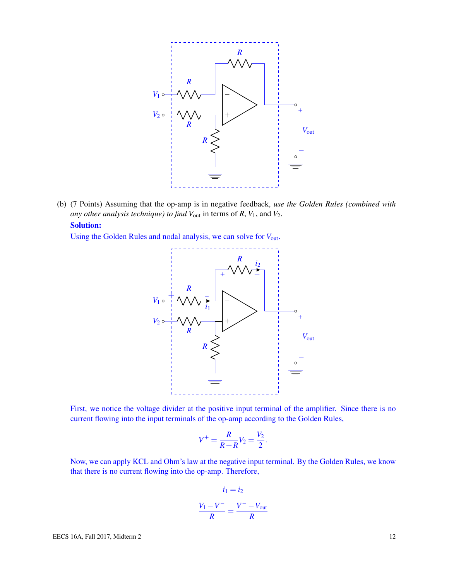

(b) (7 Points) Assuming that the op-amp is in negative feedback, *use the Golden Rules (combined with any other analysis technique) to find*  $V_{\text{out}}$  in terms of  $R$ ,  $V_1$ , and  $V_2$ . Solution:

Using the Golden Rules and nodal analysis, we can solve for *V*out.



First, we notice the voltage divider at the positive input terminal of the amplifier. Since there is no current flowing into the input terminals of the op-amp according to the Golden Rules,

$$
V^+ = \frac{R}{R+R}V_2 = \frac{V_2}{2}
$$

.

Now, we can apply KCL and Ohm's law at the negative input terminal. By the Golden Rules, we know that there is no current flowing into the op-amp. Therefore,

$$
i_1 = i_2
$$

$$
\frac{V_1 - V^-}{R} = \frac{V^- - V_{\text{out}}}{R}
$$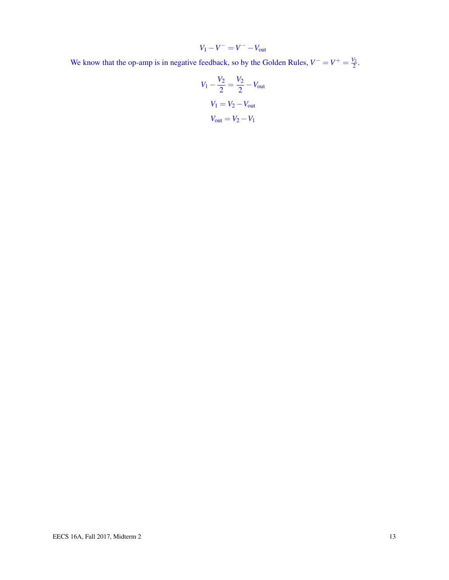$$
V_1 - V^- = V^- - V_{\text{out}}
$$

We know that the op-amp is in negative feedback, so by the Golden Rules,  $V^- = V^+ = \frac{V_2}{2}$ .

$$
V_1 - \frac{V_2}{2} = \frac{V_2}{2} - V_{\text{out}}
$$

$$
V_1 = V_2 - V_{\text{out}}
$$

$$
V_{\text{out}} = V_2 - V_1
$$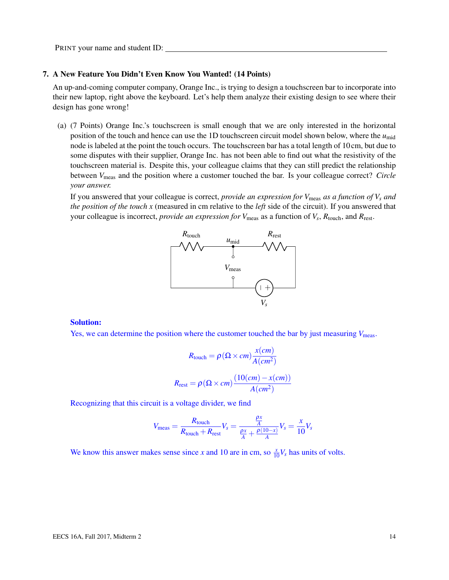#### 7. A New Feature You Didn't Even Know You Wanted! (14 Points)

An up-and-coming computer company, Orange Inc., is trying to design a touchscreen bar to incorporate into their new laptop, right above the keyboard. Let's help them analyze their existing design to see where their design has gone wrong!

(a) (7 Points) Orange Inc.'s touchscreen is small enough that we are only interested in the horizontal position of the touch and hence can use the 1D touchscreen circuit model shown below, where the  $u_{\text{mid}}$ node is labeled at the point the touch occurs. The touchscreen bar has a total length of 10 cm, but due to some disputes with their supplier, Orange Inc. has not been able to find out what the resistivity of the touchscreen material is. Despite this, your colleague claims that they can still predict the relationship between *V*meas and the position where a customer touched the bar. Is your colleague correct? *Circle your answer.*

If you answered that your colleague is correct, *provide an expression for*  $V_{\text{meas}}$  *as a function of*  $V_s$  *and the position of the touch x* (measured in cm relative to the *left* side of the circuit). If you answered that your colleague is incorrect, *provide an expression for*  $V_{\text{meas}}$  as a function of  $V_s$ ,  $R_{\text{touch}}$ , and  $R_{\text{rest}}$ .



#### Solution:

Yes, we can determine the position where the customer touched the bar by just measuring *V*<sub>meas</sub>.

$$
R_{\text{touch}} = \rho (\Omega \times cm) \frac{x(cm)}{A(cm^2)}
$$

$$
R_{\text{rest}} = \rho (\Omega \times cm) \frac{(10(cm) - x(cm))}{A(cm^2)}
$$

Recognizing that this circuit is a voltage divider, we find

$$
V_{\text{meas}} = \frac{R_{\text{touch}}}{R_{\text{touch}} + R_{\text{rest}}} V_s = \frac{\frac{\rho x}{A}}{\frac{\rho x}{A} + \frac{\rho (10 - x)}{A}} V_s = \frac{x}{10} V_s
$$

We know this answer makes sense since *x* and 10 are in cm, so  $\frac{x}{10}V_s$  has units of volts.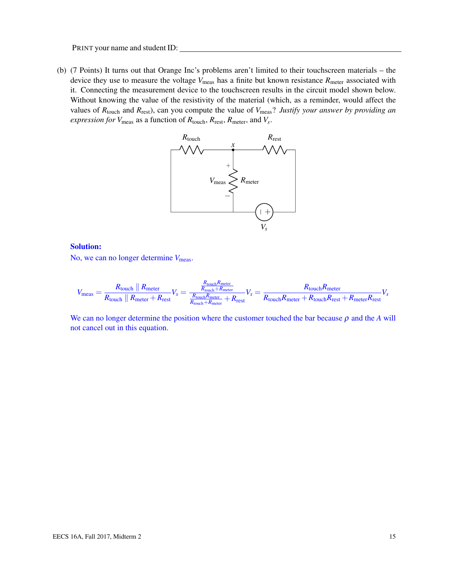(b) (7 Points) It turns out that Orange Inc's problems aren't limited to their touchscreen materials – the device they use to measure the voltage  $V_{\text{meas}}$  has a finite but known resistance  $R_{\text{meter}}$  associated with it. Connecting the measurement device to the touchscreen results in the circuit model shown below. Without knowing the value of the resistivity of the material (which, as a reminder, would affect the values of *R*touch and *R*rest), can you compute the value of *V*meas? *Justify your answer by providing an expression for V*meas as a function of *R*touch, *R*rest, *R*meter, and *V<sup>s</sup>* .



### Solution:

No, we can no longer determine  $V_{\text{meas}}$ .

$$
V_{\text{meas}} = \frac{R_{\text{touch}} \parallel R_{\text{meter}}}{R_{\text{touch}} \parallel R_{\text{meter}} + R_{\text{rest}}} V_s = \frac{\frac{R_{\text{touch}} R_{\text{meter}}}{R_{\text{touch}} + R_{\text{meter}}}}{\frac{R_{\text{touch}} R_{\text{meter}}}{R_{\text{touch}} + R_{\text{meter}}} + R_{\text{rest}}} V_s = \frac{R_{\text{touch}} R_{\text{meter}}}{R_{\text{touch}} R_{\text{meter}} + R_{\text{touch}} R_{\text{rest}}} V_s
$$

We can no longer determine the position where the customer touched the bar because  $\rho$  and the  $A$  will not cancel out in this equation.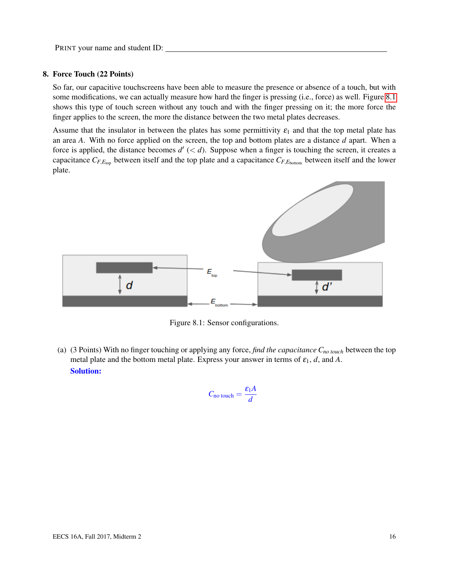#### 8. Force Touch (22 Points)

So far, our capacitive touchscreens have been able to measure the presence or absence of a touch, but with some modifications, we can actually measure how hard the finger is pressing (i.e., force) as well. Figure [8.1](#page-15-0) shows this type of touch screen without any touch and with the finger pressing on it; the more force the finger applies to the screen, the more the distance between the two metal plates decreases.

Assume that the insulator in between the plates has some permittivity  $\varepsilon_1$  and that the top metal plate has an area *A*. With no force applied on the screen, the top and bottom plates are a distance *d* apart. When a force is applied, the distance becomes  $d'$  ( $d$ ). Suppose when a finger is touching the screen, it creates a capacitance  $C_{F,E_{\text{top}}}$  between itself and the top plate and a capacitance  $C_{F,E_{\text{bottom}}}$  between itself and the lower plate.



Figure 8.1: Sensor configurations.

(a) (3 Points) With no finger touching or applying any force, *find the capacitance Cno touch* between the top metal plate and the bottom metal plate. Express your answer in terms of  $\varepsilon_1$ , *d*, and *A*. Solution:

<span id="page-15-0"></span>
$$
C_{\text{no touch}} = \frac{\varepsilon_1 A}{d}
$$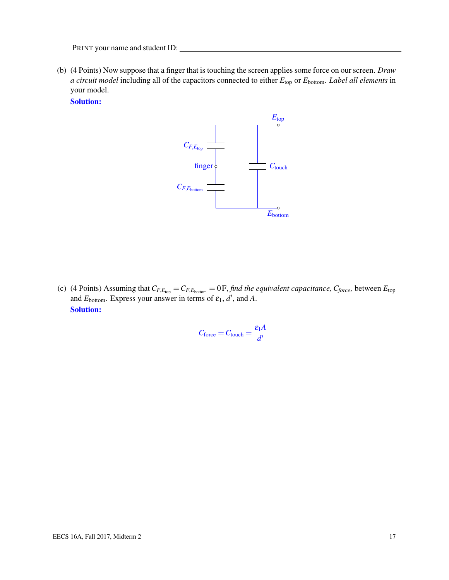(b) (4 Points) Now suppose that a finger that is touching the screen applies some force on our screen. *Draw a circuit model* including all of the capacitors connected to either *E*top or *E*bottom. *Label all elements* in your model.

Solution:



<span id="page-16-0"></span>(c) (4 Points) Assuming that  $C_{F, E_{top}} = C_{F, E_{bottom}} = 0$  *F, find the equivalent capacitance,*  $C_{force}$ *, between*  $E_{top}$ and  $E_{\text{bottom}}$ . Express your answer in terms of  $\varepsilon_1$ ,  $d'$ , and A. Solution:

$$
C_{\text{force}} = C_{\text{touch}} = \frac{\varepsilon_1 A}{d'}
$$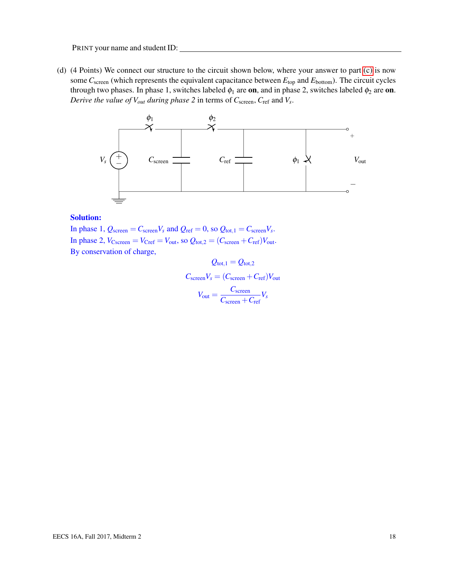(d) (4 Points) We connect our structure to the circuit shown below, where your answer to part [\(c\)](#page-16-0) is now some *C*screen (which represents the equivalent capacitance between *E*top and *E*bottom). The circuit cycles through two phases. In phase 1, switches labeled  $\phi_1$  are on, and in phase 2, switches labeled  $\phi_2$  are on. *Derive the value of Vout during phase 2* in terms of *C*screen, *C*ref and *V<sup>s</sup>* .



### Solution:

In phase 1,  $Q_{\text{screen}} = C_{\text{screen}}V_s$  and  $Q_{\text{ref}} = 0$ , so  $Q_{\text{tot},1} = C_{\text{screen}}V_s$ . In phase 2,  $V_{\text{Cscreen}} = V_{\text{Cref}} = V_{\text{out}}$ , so  $Q_{\text{tot},2} = (C_{\text{screen}} + C_{\text{ref}})V_{\text{out}}$ . By conservation of charge,

 $Q_{\text{tot.1}} = Q_{\text{tot.2}}$  $C_{\text{screen}}V_s = (C_{\text{screen}} + C_{\text{ref}})V_{\text{out}}$  $V_{\text{out}} = \frac{C_{\text{screen}}}{C_{\text{out}}}$  $\frac{C_{\text{screen}}}{C_{\text{screen}} + C_{\text{ref}}} V_s$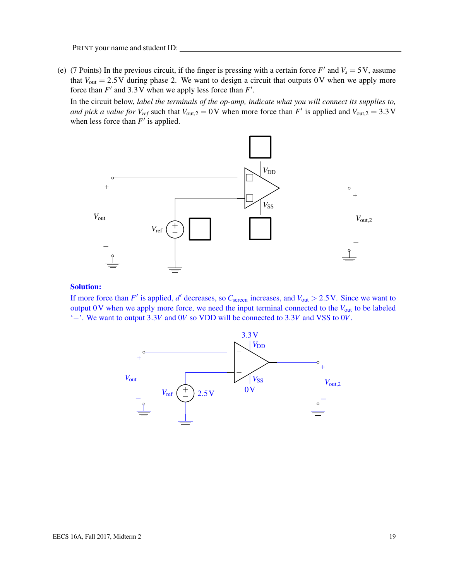(e) (7 Points) In the previous circuit, if the finger is pressing with a certain force  $F'$  and  $V_s = 5V$ , assume that  $V_{\text{out}} = 2.5 \text{V}$  during phase 2. We want to design a circuit that outputs 0V when we apply more force than  $F'$  and 3.3 V when we apply less force than  $F'$ .

In the circuit below, *label the terminals of the op-amp, indicate what you will connect its supplies to, and pick a value for*  $V_{ref}$  such that  $V_{out,2} = 0$  V when more force than  $F'$  is applied and  $V_{out,2} = 3.3$  V when less force than  $F'$  is applied.



## Solution:

If more force than  $F'$  is applied,  $d'$  decreases, so  $C_{\text{screen}}$  increases, and  $V_{\text{out}} > 2.5$  V. Since we want to output 0V when we apply more force, we need the input terminal connected to the *V*out to be labeled '−'. We want to output 3.3*V* and 0*V* so VDD will be connected to 3.3*V* and VSS to 0*V*.

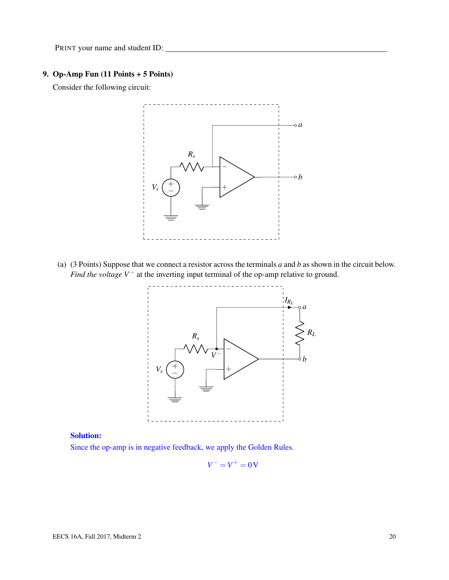# 9. Op-Amp Fun (11 Points + 5 Points)

Consider the following circuit:



(a) (3 Points) Suppose that we connect a resistor across the terminals *a* and *b* as shown in the circuit below. *Find the voltage V*<sup>−</sup> at the inverting input terminal of the op-amp relative to ground.



# Solution:

Since the op-amp is in negative feedback, we apply the Golden Rules.

$$
V^- = V^+ = 0\,\mathrm{V}
$$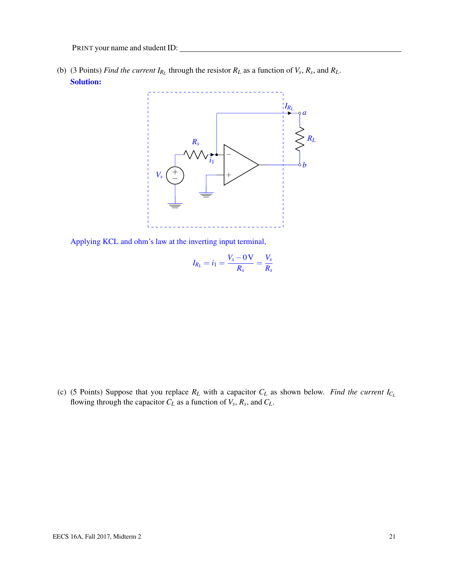(b) (3 Points) *Find the current*  $I_{R_L}$  through the resistor  $R_L$  as a function of  $V_s$ ,  $R_s$ , and  $R_L$ . Solution:



Applying KCL and ohm's law at the inverting input terminal,

$$
I_{R_L} = i_1 = \frac{V_s - 0\,\mathrm{V}}{R_s} = \frac{V_s}{R_s}
$$

(c) (5 Points) Suppose that you replace  $R_L$  with a capacitor  $C_L$  as shown below. *Find the current*  $I_{C_L}$ flowing through the capacitor  $C_L$  as a function of  $V_s$ ,  $R_s$ , and  $C_L$ .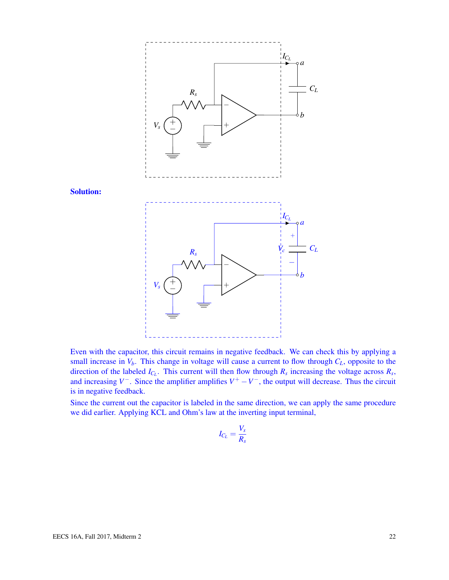

Even with the capacitor, this circuit remains in negative feedback. We can check this by applying a small increase in  $V_b$ . This change in voltage will cause a current to flow through  $C_L$ , opposite to the direction of the labeled  $I_{C_L}$ . This current will then flow through  $R_s$  increasing the voltage across  $R_s$ , and increasing  $V^-$ . Since the amplifier amplifies  $V^+ - V^-$ , the output will decrease. Thus the circuit is in negative feedback.

Since the current out the capacitor is labeled in the same direction, we can apply the same procedure we did earlier. Applying KCL and Ohm's law at the inverting input terminal,

$$
I_{C_L} = \frac{V_s}{R_s}
$$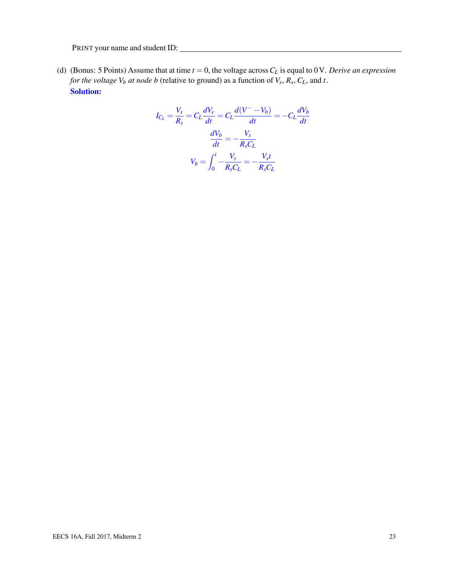(d) (Bonus: 5 Points) Assume that at time  $t = 0$ , the voltage across  $C_L$  is equal to 0V. *Derive an expression for the voltage V<sup>b</sup> at node b* (relative to ground) as a function of *V<sup>s</sup>* , *R<sup>s</sup>* , *CL*, and *t*. Solution:

$$
I_{C_L} = \frac{V_s}{R_s} = C_L \frac{dV_c}{dt} = C_L \frac{d(V^- - V_b)}{dt} = -C_L \frac{dV_b}{dt}
$$

$$
\frac{dV_b}{dt} = -\frac{V_s}{R_s C_L}
$$

$$
V_b = \int_0^t -\frac{V_s}{R_s C_L} = -\frac{V_s t}{R_s C_L}
$$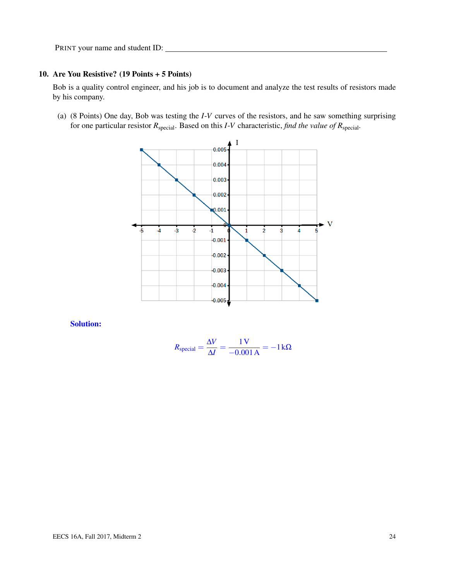## 10. Are You Resistive? (19 Points + 5 Points)

Bob is a quality control engineer, and his job is to document and analyze the test results of resistors made by his company.

<span id="page-23-0"></span>(a) (8 Points) One day, Bob was testing the *I*-*V* curves of the resistors, and he saw something surprising for one particular resistor *R*special. Based on this *I*-*V* characteristic, *find the value of R*special*.*



Solution:

$$
R_{\text{special}} = \frac{\Delta V}{\Delta I} = \frac{1 \text{ V}}{-0.001 \text{ A}} = -1 \text{ k}\Omega
$$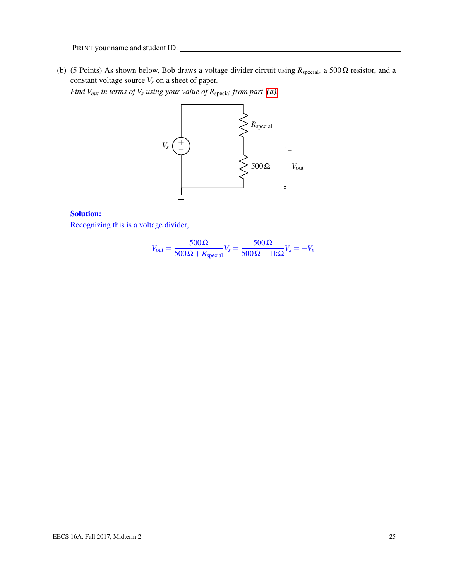<span id="page-24-0"></span>(b) (5 Points) As shown below, Bob draws a voltage divider circuit using *R*special, a 500Ω resistor, and a constant voltage source  $V_s$  on a sheet of paper.

*Find Vout in terms of V<sup>s</sup> using your value of R*special *from part [\(a\).](#page-23-0)*



# Solution:

Recognizing this is a voltage divider,

$$
V_{\text{out}} = \frac{500 \,\Omega}{500 \,\Omega + R_{\text{special}}} V_s = \frac{500 \,\Omega}{500 \,\Omega - 1 \,\text{k}\Omega} V_s = -V_s
$$